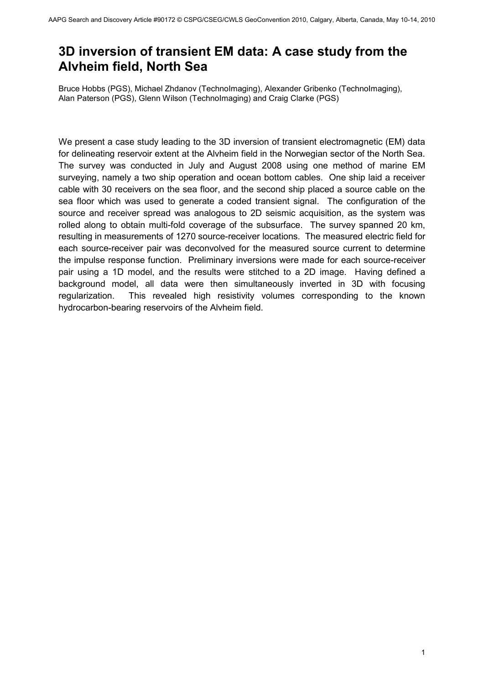# **3D inversion of transient EM data: A case study from the Alvheim field, North Sea**

Bruce Hobbs (PGS), Michael Zhdanov (TechnoImaging), Alexander Gribenko (TechnoImaging), Alan Paterson (PGS), Glenn Wilson (TechnoImaging) and Craig Clarke (PGS)

We present a case study leading to the 3D inversion of transient electromagnetic (EM) data for delineating reservoir extent at the Alvheim field in the Norwegian sector of the North Sea. The survey was conducted in July and August 2008 using one method of marine EM surveying, namely a two ship operation and ocean bottom cables. One ship laid a receiver cable with 30 receivers on the sea floor, and the second ship placed a source cable on the sea floor which was used to generate a coded transient signal. The configuration of the source and receiver spread was analogous to 2D seismic acquisition, as the system was rolled along to obtain multi-fold coverage of the subsurface. The survey spanned 20 km, resulting in measurements of 1270 source-receiver locations. The measured electric field for each source-receiver pair was deconvolved for the measured source current to determine the impulse response function. Preliminary inversions were made for each source-receiver pair using a 1D model, and the results were stitched to a 2D image. Having defined a background model, all data were then simultaneously inverted in 3D with focusing regularization. This revealed high resistivity volumes corresponding to the known hydrocarbon-bearing reservoirs of the Alvheim field.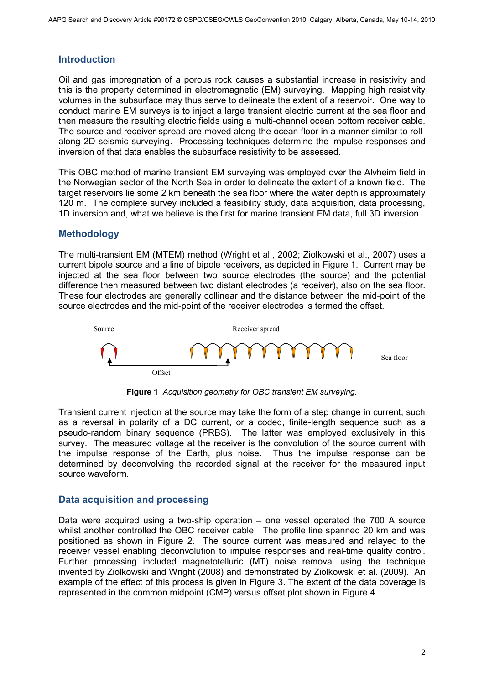# **Introduction**

Oil and gas impregnation of a porous rock causes a substantial increase in resistivity and this is the property determined in electromagnetic (EM) surveying. Mapping high resistivity volumes in the subsurface may thus serve to delineate the extent of a reservoir. One way to conduct marine EM surveys is to inject a large transient electric current at the sea floor and then measure the resulting electric fields using a multi-channel ocean bottom receiver cable. The source and receiver spread are moved along the ocean floor in a manner similar to rollalong 2D seismic surveying. Processing techniques determine the impulse responses and inversion of that data enables the subsurface resistivity to be assessed.

This OBC method of marine transient EM surveying was employed over the Alvheim field in the Norwegian sector of the North Sea in order to delineate the extent of a known field. The target reservoirs lie some 2 km beneath the sea floor where the water depth is approximately 120 m. The complete survey included a feasibility study, data acquisition, data processing, 1D inversion and, what we believe is the first for marine transient EM data, full 3D inversion.

# **Methodology**

The multi-transient EM (MTEM) method (Wright et al., 2002; Ziolkowski et al., 2007) uses a current bipole source and a line of bipole receivers, as depicted in Figure 1. Current may be injected at the sea floor between two source electrodes (the source) and the potential difference then measured between two distant electrodes (a receiver), also on the sea floor. These four electrodes are generally collinear and the distance between the mid-point of the source electrodes and the mid-point of the receiver electrodes is termed the offset.





Transient current injection at the source may take the form of a step change in current, such as a reversal in polarity of a DC current, or a coded, finite-length sequence such as a pseudo-random binary sequence (PRBS). The latter was employed exclusively in this survey. The measured voltage at the receiver is the convolution of the source current with the impulse response of the Earth, plus noise. Thus the impulse response can be determined by deconvolving the recorded signal at the receiver for the measured input source waveform.

# **Data acquisition and processing**

Data were acquired using a two-ship operation – one vessel operated the 700 A source whilst another controlled the OBC receiver cable. The profile line spanned 20 km and was positioned as shown in Figure 2. The source current was measured and relayed to the receiver vessel enabling deconvolution to impulse responses and real-time quality control. Further processing included magnetotelluric (MT) noise removal using the technique invented by Ziolkowski and Wright (2008) and demonstrated by Ziolkowski et al. (2009). An example of the effect of this process is given in Figure 3. The extent of the data coverage is represented in the common midpoint (CMP) versus offset plot shown in Figure 4.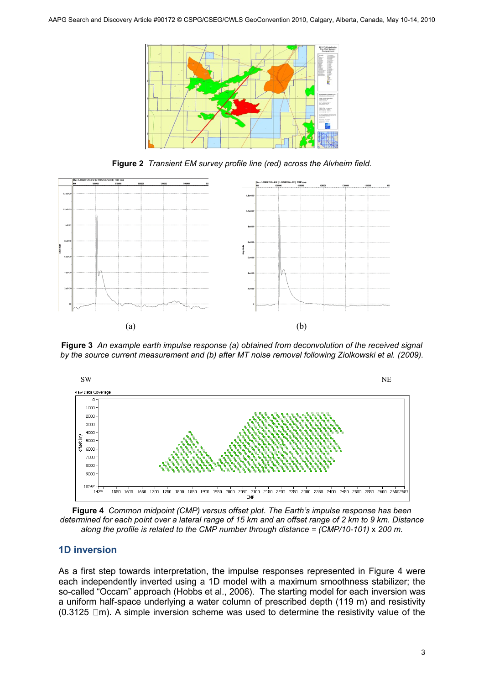

**Figure 2** *Transient EM survey profile line (red) across the Alvheim field.*



**Figure 3** *An example earth impulse response (a) obtained from deconvolution of the received signal by the source current measurement and (b) after MT noise removal following Ziolkowski et al. (2009).*



**Figure 4** *Common midpoint (CMP) versus offset plot. The Earth's impulse response has been determined for each point over a lateral range of 15 km and an offset range of 2 km to 9 km. Distance along the profile is related to the CMP number through distance = (CMP/10-101) x 200 m.* 

# **1D inversion**

As a first step towards interpretation, the impulse responses represented in Figure 4 were each independently inverted using a 1D model with a maximum smoothness stabilizer; the so-called "Occam" approach (Hobbs et al., 2006). The starting model for each inversion was a uniform half-space underlying a water column of prescribed depth (119 m) and resistivity  $(0.3125 \Box m)$ . A simple inversion scheme was used to determine the resistivity value of the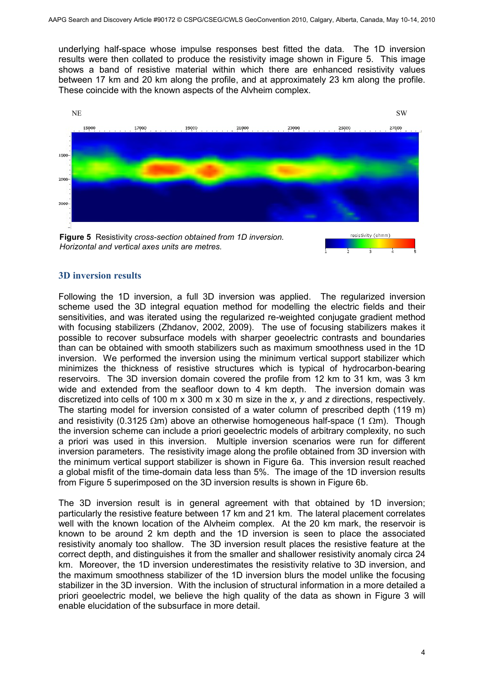underlying half-space whose impulse responses best fitted the data. The 1D inversion results were then collated to produce the resistivity image shown in Figure 5. This image shows a band of resistive material within which there are enhanced resistivity values between 17 km and 20 km along the profile, and at approximately 23 km along the profile. These coincide with the known aspects of the Alvheim complex.



#### **3D inversion results**

Following the 1D inversion, a full 3D inversion was applied. The regularized inversion scheme used the 3D integral equation method for modelling the electric fields and their sensitivities, and was iterated using the regularized re-weighted conjugate gradient method with focusing stabilizers (Zhdanov, 2002, 2009). The use of focusing stabilizers makes it possible to recover subsurface models with sharper geoelectric contrasts and boundaries than can be obtained with smooth stabilizers such as maximum smoothness used in the 1D inversion. We performed the inversion using the minimum vertical support stabilizer which minimizes the thickness of resistive structures which is typical of hydrocarbon-bearing reservoirs. The 3D inversion domain covered the profile from 12 km to 31 km, was 3 km wide and extended from the seafloor down to 4 km depth. The inversion domain was discretized into cells of 100 m x 300 m x 30 m size in the *x*, *y* and *z* directions, respectively. The starting model for inversion consisted of a water column of prescribed depth (119 m) and resistivity (0.3125  $\Omega$ m) above an otherwise homogeneous half-space (1  $\Omega$ m). Though the inversion scheme can include a priori geoelectric models of arbitrary complexity, no such a priori was used in this inversion. Multiple inversion scenarios were run for different inversion parameters. The resistivity image along the profile obtained from 3D inversion with the minimum vertical support stabilizer is shown in Figure 6a. This inversion result reached a global misfit of the time-domain data less than 5%. The image of the 1D inversion results from Figure 5 superimposed on the 3D inversion results is shown in Figure 6b.

The 3D inversion result is in general agreement with that obtained by 1D inversion; particularly the resistive feature between 17 km and 21 km. The lateral placement correlates well with the known location of the Alvheim complex. At the 20 km mark, the reservoir is known to be around 2 km depth and the 1D inversion is seen to place the associated resistivity anomaly too shallow. The 3D inversion result places the resistive feature at the correct depth, and distinguishes it from the smaller and shallower resistivity anomaly circa 24 km. Moreover, the 1D inversion underestimates the resistivity relative to 3D inversion, and the maximum smoothness stabilizer of the 1D inversion blurs the model unlike the focusing stabilizer in the 3D inversion. With the inclusion of structural information in a more detailed a priori geoelectric model, we believe the high quality of the data as shown in Figure 3 will enable elucidation of the subsurface in more detail.